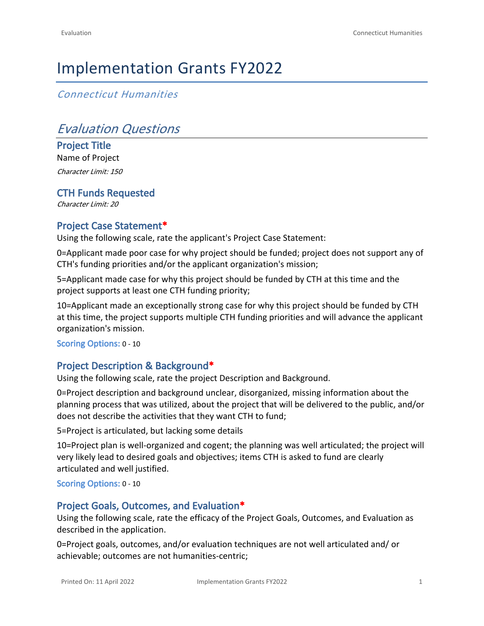# Implementation Grants FY2022

*Connecticut Humanities*

# *Evaluation Questions*

**Project Title** Name of Project *Character Limit: 150*

**CTH Funds Requested** *Character Limit: 20*

## **Project Case Statement\***

Using the following scale, rate the applicant's Project Case Statement:

0=Applicant made poor case for why project should be funded; project does not support any of CTH's funding priorities and/or the applicant organization's mission;

5=Applicant made case for why this project should be funded by CTH at this time and the project supports at least one CTH funding priority;

10=Applicant made an exceptionally strong case for why this project should be funded by CTH at this time, the project supports multiple CTH funding priorities and will advance the applicant organization's mission.

**Scoring Options:** 0 - 10

## **Project Description & Background\***

Using the following scale, rate the project Description and Background.

0=Project description and background unclear, disorganized, missing information about the planning process that was utilized, about the project that will be delivered to the public, and/or does not describe the activities that they want CTH to fund;

5=Project is articulated, but lacking some details

10=Project plan is well-organized and cogent; the planning was well articulated; the project will very likely lead to desired goals and objectives; items CTH is asked to fund are clearly articulated and well justified.

**Scoring Options:** 0 - 10

### **Project Goals, Outcomes, and Evaluation\***

Using the following scale, rate the efficacy of the Project Goals, Outcomes, and Evaluation as described in the application.

0=Project goals, outcomes, and/or evaluation techniques are not well articulated and/ or achievable; outcomes are not humanities-centric;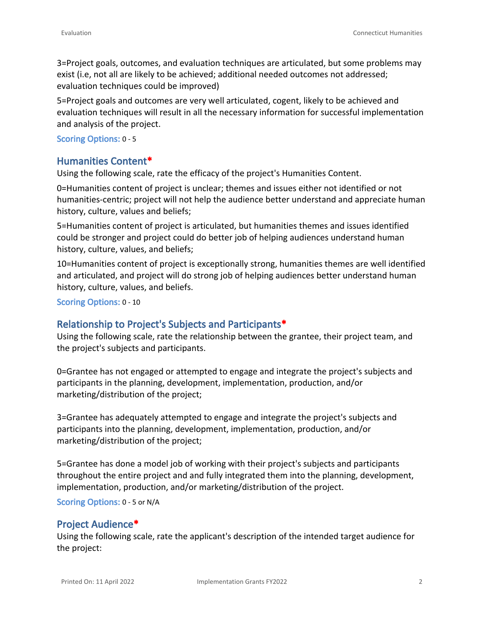3=Project goals, outcomes, and evaluation techniques are articulated, but some problems may exist (i.e, not all are likely to be achieved; additional needed outcomes not addressed; evaluation techniques could be improved)

5=Project goals and outcomes are very well articulated, cogent, likely to be achieved and evaluation techniques will result in all the necessary information for successful implementation and analysis of the project.

#### **Scoring Options:** 0 - 5

#### **Humanities Content\***

Using the following scale, rate the efficacy of the project's Humanities Content.

0=Humanities content of project is unclear; themes and issues either not identified or not humanities-centric; project will not help the audience better understand and appreciate human history, culture, values and beliefs;

5=Humanities content of project is articulated, but humanities themes and issues identified could be stronger and project could do better job of helping audiences understand human history, culture, values, and beliefs;

10=Humanities content of project is exceptionally strong, humanities themes are well identified and articulated, and project will do strong job of helping audiences better understand human history, culture, values, and beliefs.

**Scoring Options:** 0 - 10

### **Relationship to Project's Subjects and Participants\***

Using the following scale, rate the relationship between the grantee, their project team, and the project's subjects and participants.

0=Grantee has not engaged or attempted to engage and integrate the project's subjects and participants in the planning, development, implementation, production, and/or marketing/distribution of the project;

3=Grantee has adequately attempted to engage and integrate the project's subjects and participants into the planning, development, implementation, production, and/or marketing/distribution of the project;

5=Grantee has done a model job of working with their project's subjects and participants throughout the entire project and and fully integrated them into the planning, development, implementation, production, and/or marketing/distribution of the project.

**Scoring Options:** 0 - 5 or N/A

### **Project Audience\***

Using the following scale, rate the applicant's description of the intended target audience for the project: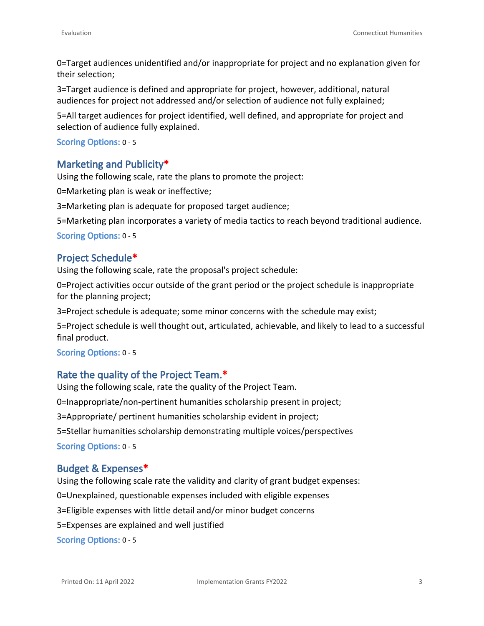0=Target audiences unidentified and/or inappropriate for project and no explanation given for their selection;

3=Target audience is defined and appropriate for project, however, additional, natural audiences for project not addressed and/or selection of audience not fully explained;

5=All target audiences for project identified, well defined, and appropriate for project and selection of audience fully explained.

#### **Scoring Options:** 0 - 5

## **Marketing and Publicity\***

Using the following scale, rate the plans to promote the project:

0=Marketing plan is weak or ineffective;

3=Marketing plan is adequate for proposed target audience;

5=Marketing plan incorporates a variety of media tactics to reach beyond traditional audience.

**Scoring Options:** 0 - 5

## **Project Schedule\***

Using the following scale, rate the proposal's project schedule:

0=Project activities occur outside of the grant period or the project schedule is inappropriate for the planning project;

3=Project schedule is adequate; some minor concerns with the schedule may exist;

5=Project schedule is well thought out, articulated, achievable, and likely to lead to a successful final product.

#### **Scoring Options:** 0 - 5

## **Rate the quality of the Project Team.\***

Using the following scale, rate the quality of the Project Team. 0=Inappropriate/non-pertinent humanities scholarship present in project; 3=Appropriate/ pertinent humanities scholarship evident in project; 5=Stellar humanities scholarship demonstrating multiple voices/perspectives **Scoring Options:** 0 - 5

### **Budget & Expenses\***

Using the following scale rate the validity and clarity of grant budget expenses:

0=Unexplained, questionable expenses included with eligible expenses

3=Eligible expenses with little detail and/or minor budget concerns

5=Expenses are explained and well justified

**Scoring Options:** 0 - 5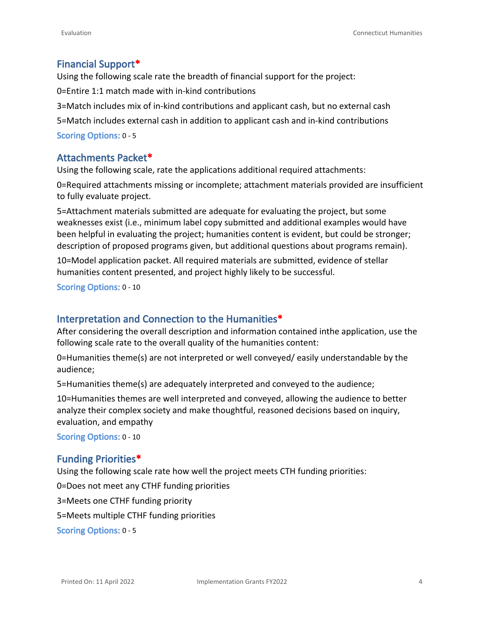## **Financial Support\***

Using the following scale rate the breadth of financial support for the project: 0=Entire 1:1 match made with in-kind contributions 3=Match includes mix of in-kind contributions and applicant cash, but no external cash 5=Match includes external cash in addition to applicant cash and in-kind contributions **Scoring Options:** 0 - 5

## **Attachments Packet\***

Using the following scale, rate the applications additional required attachments:

0=Required attachments missing or incomplete; attachment materials provided are insufficient to fully evaluate project.

5=Attachment materials submitted are adequate for evaluating the project, but some weaknesses exist (i.e., minimum label copy submitted and additional examples would have been helpful in evaluating the project; humanities content is evident, but could be stronger; description of proposed programs given, but additional questions about programs remain).

10=Model application packet. All required materials are submitted, evidence of stellar humanities content presented, and project highly likely to be successful.

**Scoring Options:** 0 - 10

## **Interpretation and Connection to the Humanities\***

After considering the overall description and information contained inthe application, use the following scale rate to the overall quality of the humanities content:

0=Humanities theme(s) are not interpreted or well conveyed/ easily understandable by the audience;

5=Humanities theme(s) are adequately interpreted and conveyed to the audience;

10=Humanities themes are well interpreted and conveyed, allowing the audience to better analyze their complex society and make thoughtful, reasoned decisions based on inquiry, evaluation, and empathy

**Scoring Options:** 0 - 10

### **Funding Priorities\***

Using the following scale rate how well the project meets CTH funding priorities:

0=Does not meet any CTHF funding priorities

3=Meets one CTHF funding priority

5=Meets multiple CTHF funding priorities

**Scoring Options:** 0 - 5